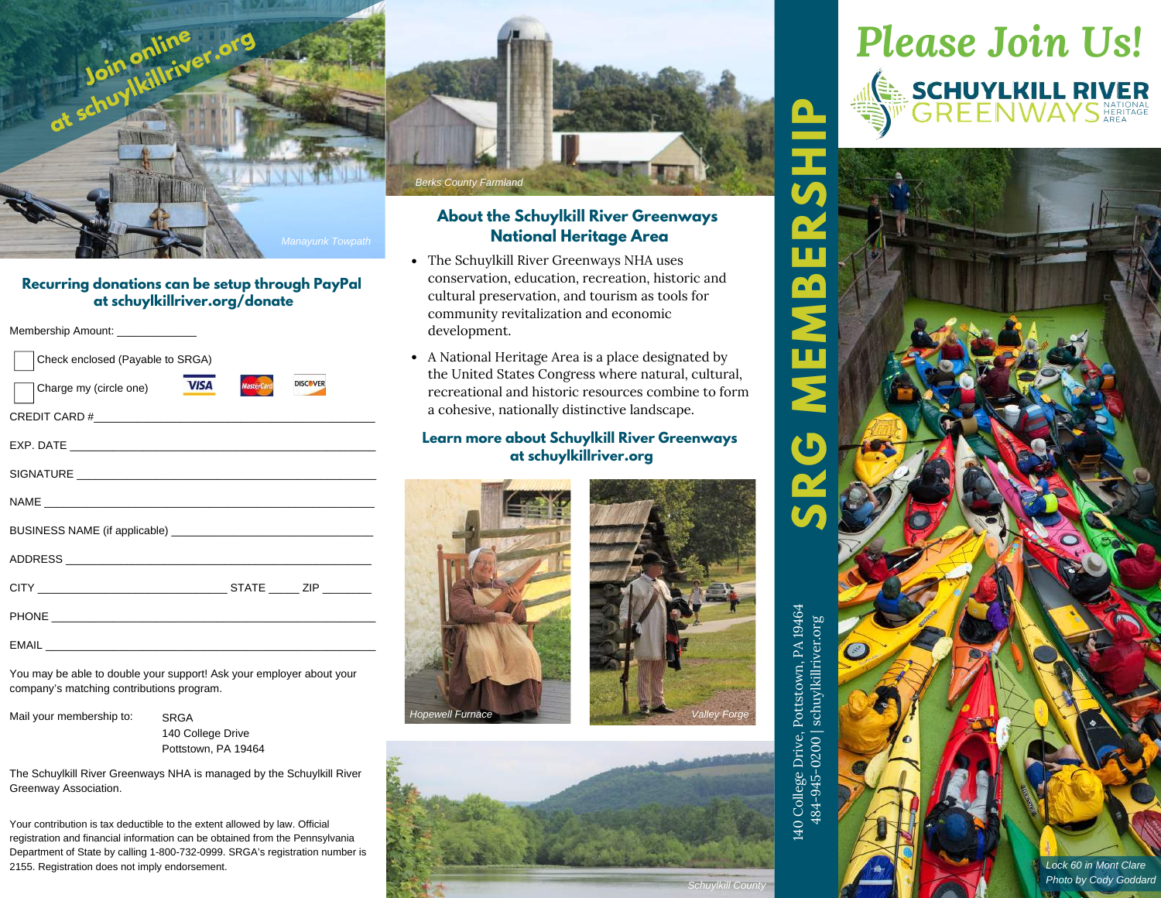

### **About the Schuylkill River Greenways National Heritage Area**

- The Schuylkill River Greenways NHA uses conservation, education, recreation, historic and cultural preservation, and tourism as tools for community revitalization and economic development.
- A National Heritage Area is a place designated by the United States Congress where natural, cultural, recreational and historic resources combine to form a cohesive, nationally distinctive landscape.

#### **Learn more about Schuylkill River Greenways at schuylkillriver.org**







# *Please Join Us!* EN SCHUYLKILL RIVER<br>SI<sup>II</sup> GREEN WAYS NEURAAL

**P**



#### **Recurring donations can be setup through PayPal at schuylkillriver.org/donate**

Membership Amount:  $\overline{C}$ 

| Check enclosed (Payable to SRGA)      |                   |                 |
|---------------------------------------|-------------------|-----------------|
| <b>VISA</b><br>Charge my (circle one) | <b>MasterCard</b> | <b>DISCOVER</b> |
| CREDIT CARD $\#$                      |                   |                 |
|                                       |                   |                 |
|                                       |                   |                 |
|                                       |                   |                 |
|                                       |                   |                 |
|                                       |                   |                 |
|                                       |                   |                 |
|                                       |                   |                 |
| <b>EMAIL</b>                          |                   |                 |

You may be able to double your support! Ask your employer about your company's matching contributions program.

**SRGA** 

Mail your membership to:

140 College Drive Pottstown, PA 19464

The Schuylkill River Greenways NHA is managed by the Schuylkill River Greenway Association.

Your contribution is tax deductible to the extent allowed by law. Official registration and financial information can be obtained from the Pennsylvania Department of State by calling 1-800-732-0999. SRGA's registration number is 2155. Registration does not imply endorsement.